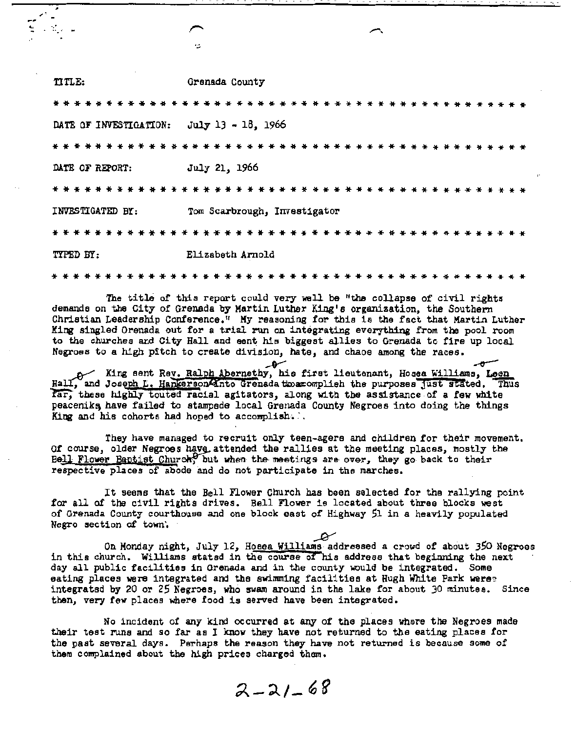|                                           | 七                            |
|-------------------------------------------|------------------------------|
| TITLE:                                    | Grenada County               |
|                                           |                              |
| DATE OF INVESTIGATION: July 13 - 18, 1966 |                              |
|                                           |                              |
| DATE OF REPORT:                           | July 21, 1966                |
|                                           |                              |
| INVESTIGATED BY:                          | Tom Scarbrough, Investigator |
| * * * * * * * * * *                       |                              |
| TYPED BY:                                 | Elizabeth Arnold             |
| .                                         |                              |

The title of this report could very well be "the collapse of civil rights demands on the City of Grenada by Martin Luther King's organization, the Southern Christian Leadership Conference." My reasoning for this is the fact that Martin Luther King singled Orenada out for a trial run on integrating everything from the pool room to the churches and City Hall and eent his biggest allies to Grenada to fire up local Negroes to a high pitch to create division, hate, and chaoe among the races.

A King sent Rey. Ralph Abernethy, his first lieutenant, Hosea Williams, Leon , and Joseph L. Hankerson Anto Grenada tware mplich the purposes just stated. Thus far, these highly touted racial agitators, along with the assistance of a few white peaceniks have failed to stampede local Grenada County Negroes into doing the things King and his cohorts had hoped to accomplish...

They have managed to recruit only teen-agere and children for their movement. Of course, older Negroes have attended the rallies at the meeting places, mostly the Bell Flower Baptist Church, but when the meetings are over, they go back to their respective places of abode and do not participate in the marches.

It seems that the Bell Flower Church has been selected for the rallying point for all of the civil rights drives. Bell Flower is located about three blocks west of Grenada County courthouse and one block east of Highway 51 in a heavily populated Negro section of town.

On Monday night, July 12, Hosea Williams addressed a crowd of about 350 Negroes in this church. Williams statsd in the course of his address that beginning the next day all public facilities in Grenada and in the county would be integrated. Some eating places were integrated and the swimming facilities at Hugh White Park were: integrated by 20 or 25 Negroes, who swam around in the lake for about 30 minutes. Since then, very few places where food is served have been integrated.

No incident of any kind occurred at any of the places where the Negroes made their test runs and so far as I know they have not returned to the eating places for the past several days. Perhaps the reason they have not returned is because some of them complained about the high prices charged them.

 $2 - 21 - 68$